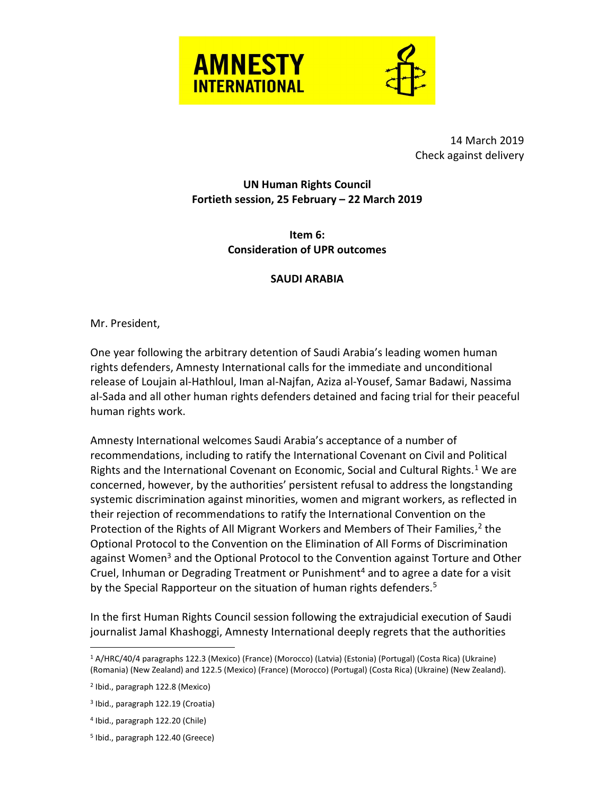



 14 March 2019 Check against delivery

## UN Human Rights Council Fortieth session, 25 February – 22 March 2019

Item 6: Consideration of UPR outcomes

## SAUDI ARABIA

Mr. President,

One year following the arbitrary detention of Saudi Arabia's leading women human rights defenders, Amnesty International calls for the immediate and unconditional release of Loujain al-Hathloul, Iman al-Najfan, Aziza al-Yousef, Samar Badawi, Nassima al-Sada and all other human rights defenders detained and facing trial for their peaceful human rights work.

Amnesty International welcomes Saudi Arabia's acceptance of a number of recommendations, including to ratify the International Covenant on Civil and Political Rights and the International Covenant on Economic, Social and Cultural Rights.<sup>1</sup> We are concerned, however, by the authorities' persistent refusal to address the longstanding systemic discrimination against minorities, women and migrant workers, as reflected in their rejection of recommendations to ratify the International Convention on the Protection of the Rights of All Migrant Workers and Members of Their Families, $^2$  the Optional Protocol to the Convention on the Elimination of All Forms of Discrimination against Women<sup>3</sup> and the Optional Protocol to the Convention against Torture and Other Cruel, Inhuman or Degrading Treatment or Punishment<sup>4</sup> and to agree a date for a visit by the Special Rapporteur on the situation of human rights defenders.<sup>5</sup>

In the first Human Rights Council session following the extrajudicial execution of Saudi journalist Jamal Khashoggi, Amnesty International deeply regrets that the authorities

 $\overline{a}$ 

<sup>1</sup> A/HRC/40/4 paragraphs 122.3 (Mexico) (France) (Morocco) (Latvia) (Estonia) (Portugal) (Costa Rica) (Ukraine) (Romania) (New Zealand) and 122.5 (Mexico) (France) (Morocco) (Portugal) (Costa Rica) (Ukraine) (New Zealand).

<sup>2</sup> Ibid., paragraph 122.8 (Mexico)

<sup>3</sup> Ibid., paragraph 122.19 (Croatia)

<sup>4</sup> Ibid., paragraph 122.20 (Chile)

<sup>5</sup> Ibid., paragraph 122.40 (Greece)